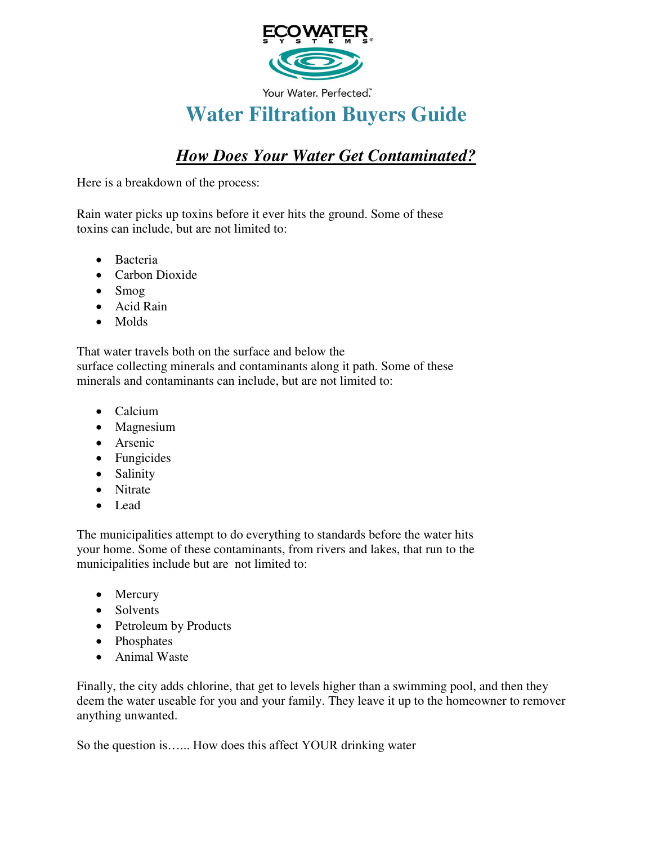

Your Water. Perfected"

# **Water Filtration Buyers Guide**

# *How Does Your Water Get Contaminated?*

Here is a breakdown of the process:

Rain water picks up toxins before it ever hits the ground. Some of these toxins can include, but are not limited to:

- Bacteria
- Carbon Dioxide
- Smog
- Acid Rain
- Molds

That water travels both on the surface and below the surface collecting minerals and contaminants along it path. Some of these minerals and contaminants can include, but are not limited to:

- Calcium
- Magnesium
- Arsenic
- Fungicides
- Salinity
- Nitrate
- Lead

The municipalities attempt to do everything to standards before the water hits your home. Some of these contaminants, from rivers and lakes, that run to the municipalities include but are not limited to:

- Mercury
- Solvents
- Petroleum by Products
- Phosphates
- Animal Waste

Finally, the city adds chlorine, that get to levels higher than a swimming pool, and then they deem the water useable for you and your family. They leave it up to the homeowner to remover anything unwanted.

So the question is…... How does this affect YOUR drinking water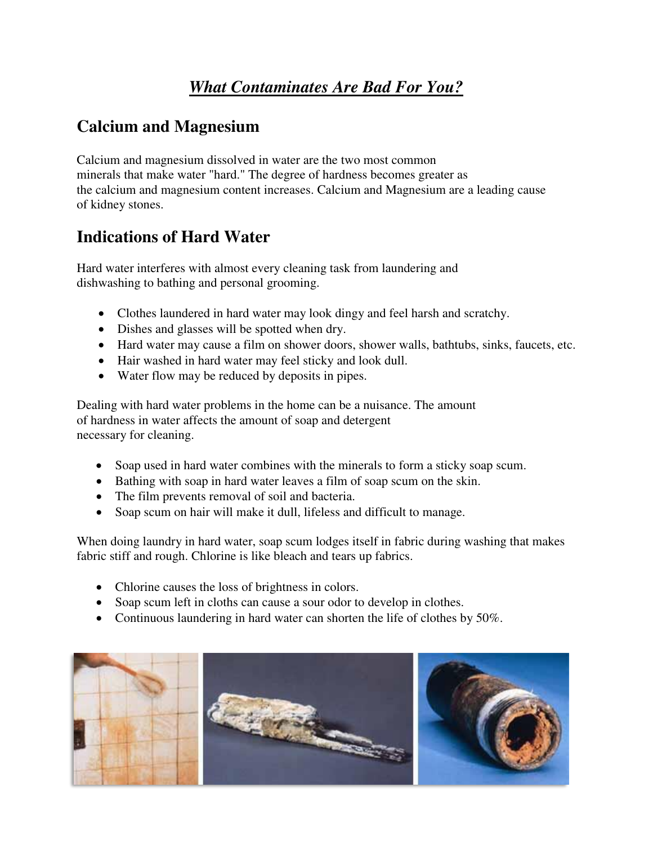# *What Contaminates Are Bad For You?*

# **Calcium and Magnesium**

Calcium and magnesium dissolved in water are the two most common minerals that make water "hard." The degree of hardness becomes greater as the calcium and magnesium content increases. Calcium and Magnesium are a leading cause of kidney stones.

# **Indications of Hard Water**

Hard water interferes with almost every cleaning task from laundering and dishwashing to bathing and personal grooming.

- Clothes laundered in hard water may look dingy and feel harsh and scratchy.
- Dishes and glasses will be spotted when dry.
- Hard water may cause a film on shower doors, shower walls, bathtubs, sinks, faucets, etc.
- Hair washed in hard water may feel sticky and look dull.
- Water flow may be reduced by deposits in pipes.

Dealing with hard water problems in the home can be a nuisance. The amount of hardness in water affects the amount of soap and detergent necessary for cleaning.

- Soap used in hard water combines with the minerals to form a sticky soap scum.
- Bathing with soap in hard water leaves a film of soap scum on the skin.
- The film prevents removal of soil and bacteria.
- Soap scum on hair will make it dull, lifeless and difficult to manage.

When doing laundry in hard water, soap scum lodges itself in fabric during washing that makes fabric stiff and rough. Chlorine is like bleach and tears up fabrics.

- Chlorine causes the loss of brightness in colors.
- Soap scum left in cloths can cause a sour odor to develop in clothes.
- Continuous laundering in hard water can shorten the life of clothes by 50%.

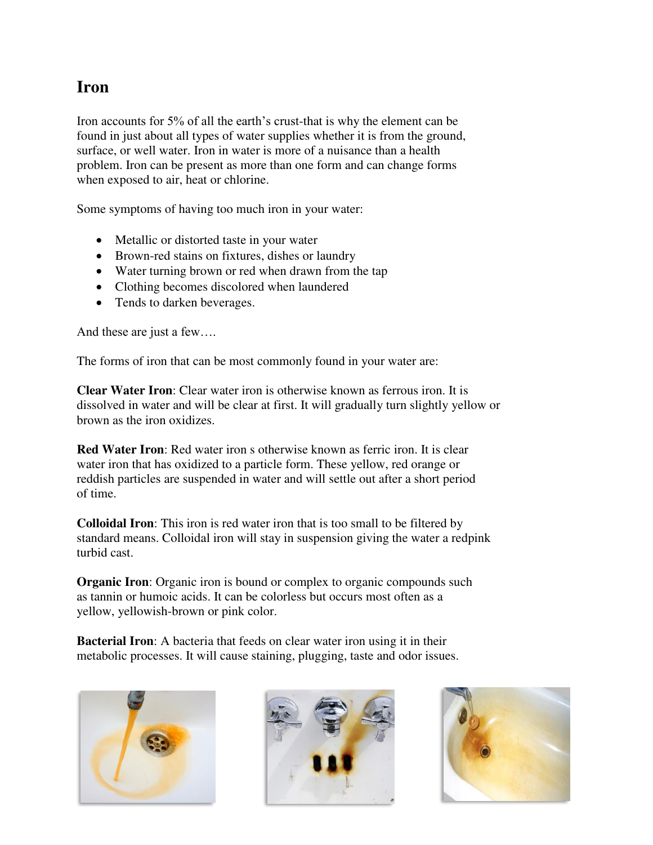#### **Iron**

Iron accounts for 5% of all the earth's crust-that is why the element can be found in just about all types of water supplies whether it is from the ground, surface, or well water. Iron in water is more of a nuisance than a health problem. Iron can be present as more than one form and can change forms when exposed to air, heat or chlorine.

Some symptoms of having too much iron in your water:

- Metallic or distorted taste in your water
- Brown-red stains on fixtures, dishes or laundry
- Water turning brown or red when drawn from the tap
- Clothing becomes discolored when laundered
- Tends to darken beverages.

And these are just a few….

The forms of iron that can be most commonly found in your water are:

**Clear Water Iron**: Clear water iron is otherwise known as ferrous iron. It is dissolved in water and will be clear at first. It will gradually turn slightly yellow or brown as the iron oxidizes.

**Red Water Iron**: Red water iron s otherwise known as ferric iron. It is clear water iron that has oxidized to a particle form. These yellow, red orange or reddish particles are suspended in water and will settle out after a short period of time.

**Colloidal Iron**: This iron is red water iron that is too small to be filtered by standard means. Colloidal iron will stay in suspension giving the water a redpink turbid cast.

**Organic Iron**: Organic iron is bound or complex to organic compounds such as tannin or humoic acids. It can be colorless but occurs most often as a yellow, yellowish-brown or pink color.

**Bacterial Iron**: A bacteria that feeds on clear water iron using it in their metabolic processes. It will cause staining, plugging, taste and odor issues.





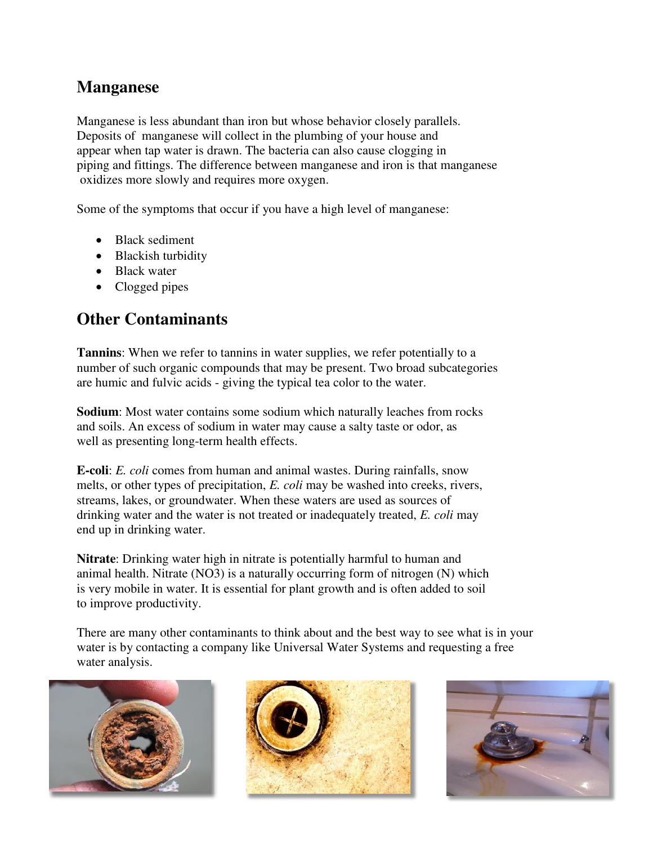## **Manganese**

Manganese is less abundant than iron but whose behavior closely parallels. Deposits of manganese will collect in the plumbing of your house and appear when tap water is drawn. The bacteria can also cause clogging in piping and fittings. The difference between manganese and iron is that manganese oxidizes more slowly and requires more oxygen.

Some of the symptoms that occur if you have a high level of manganese:

- Black sediment
- Blackish turbidity
- Black water
- Clogged pipes

### **Other Contaminants**

**Tannins**: When we refer to tannins in water supplies, we refer potentially to a number of such organic compounds that may be present. Two broad subcategories are humic and fulvic acids - giving the typical tea color to the water.

**Sodium**: Most water contains some sodium which naturally leaches from rocks and soils. An excess of sodium in water may cause a salty taste or odor, as well as presenting long-term health effects.

**E-coli**: *E. coli* comes from human and animal wastes. During rainfalls, snow melts, or other types of precipitation, *E. coli* may be washed into creeks, rivers, streams, lakes, or groundwater. When these waters are used as sources of drinking water and the water is not treated or inadequately treated, *E. coli* may end up in drinking water.

**Nitrate**: Drinking water high in nitrate is potentially harmful to human and animal health. Nitrate (NO3) is a naturally occurring form of nitrogen (N) which is very mobile in water. It is essential for plant growth and is often added to soil to improve productivity.

There are many other contaminants to think about and the best way to see what is in your water is by contacting a company like Universal Water Systems and requesting a free water analysis.





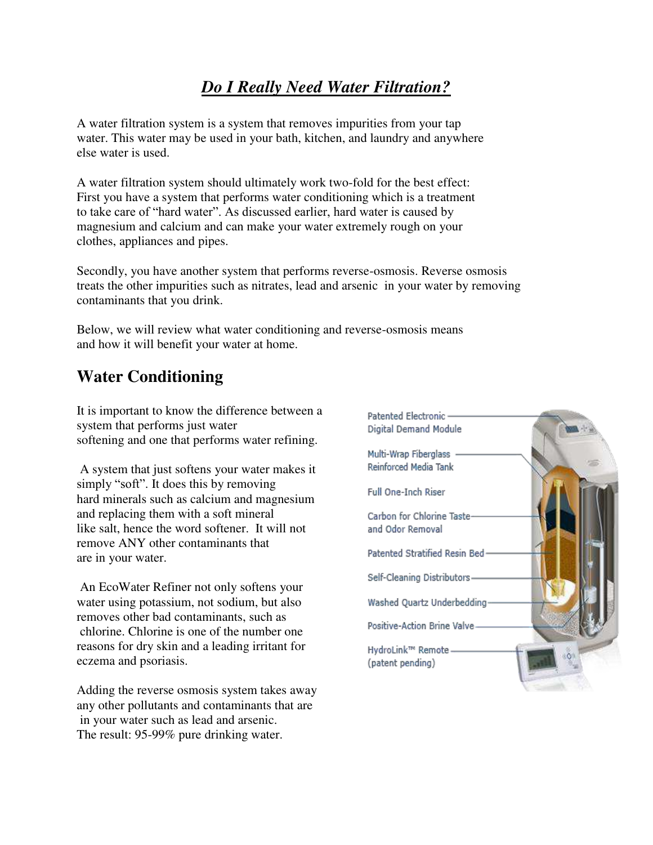# *Do I Really Need Water Filtration?*

A water filtration system is a system that removes impurities from your tap water. This water may be used in your bath, kitchen, and laundry and anywhere else water is used.

A water filtration system should ultimately work two-fold for the best effect: First you have a system that performs water conditioning which is a treatment to take care of "hard water". As discussed earlier, hard water is caused by magnesium and calcium and can make your water extremely rough on your clothes, appliances and pipes.

Secondly, you have another system that performs reverse-osmosis. Reverse osmosis treats the other impurities such as nitrates, lead and arsenic in your water by removing contaminants that you drink.

Below, we will review what water conditioning and reverse-osmosis means and how it will benefit your water at home.

# **Water Conditioning**

It is important to know the difference between a system that performs just water softening and one that performs water refining.

 A system that just softens your water makes it simply "soft". It does this by removing hard minerals such as calcium and magnesium and replacing them with a soft mineral like salt, hence the word softener. It will not remove ANY other contaminants that are in your water.

 An EcoWater Refiner not only softens your water using potassium, not sodium, but also removes other bad contaminants, such as chlorine. Chlorine is one of the number one reasons for dry skin and a leading irritant for eczema and psoriasis.

Adding the reverse osmosis system takes away any other pollutants and contaminants that are in your water such as lead and arsenic. The result: 95-99% pure drinking water.

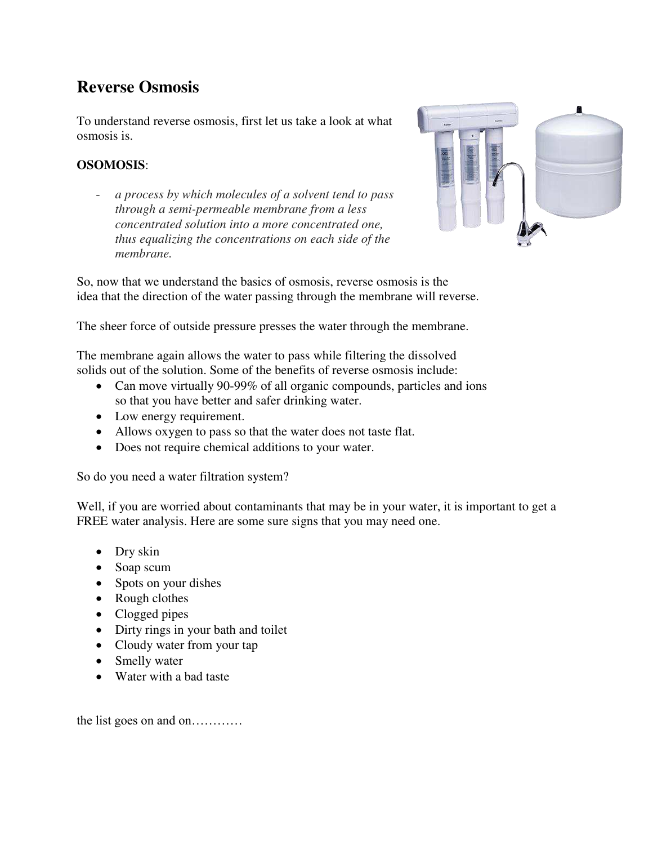# **Reverse Osmosis**

To understand reverse osmosis, first let us take a look at what osmosis is.

#### **OSOMOSIS**:

- *a process by which molecules of a solvent tend to pass through a semi-permeable membrane from a less concentrated solution into a more concentrated one, thus equalizing the concentrations on each side of the membrane.* 



So, now that we understand the basics of osmosis, reverse osmosis is the idea that the direction of the water passing through the membrane will reverse.

The sheer force of outside pressure presses the water through the membrane.

The membrane again allows the water to pass while filtering the dissolved solids out of the solution. Some of the benefits of reverse osmosis include:

- Can move virtually 90-99% of all organic compounds, particles and ions so that you have better and safer drinking water.
- Low energy requirement.
- Allows oxygen to pass so that the water does not taste flat.
- Does not require chemical additions to your water.

So do you need a water filtration system?

Well, if you are worried about contaminants that may be in your water, it is important to get a FREE water analysis. Here are some sure signs that you may need one.

- Dry skin
- Soap scum
- Spots on your dishes
- Rough clothes
- Clogged pipes
- Dirty rings in your bath and toilet
- Cloudy water from your tap
- Smelly water
- Water with a bad taste

the list goes on and on…………